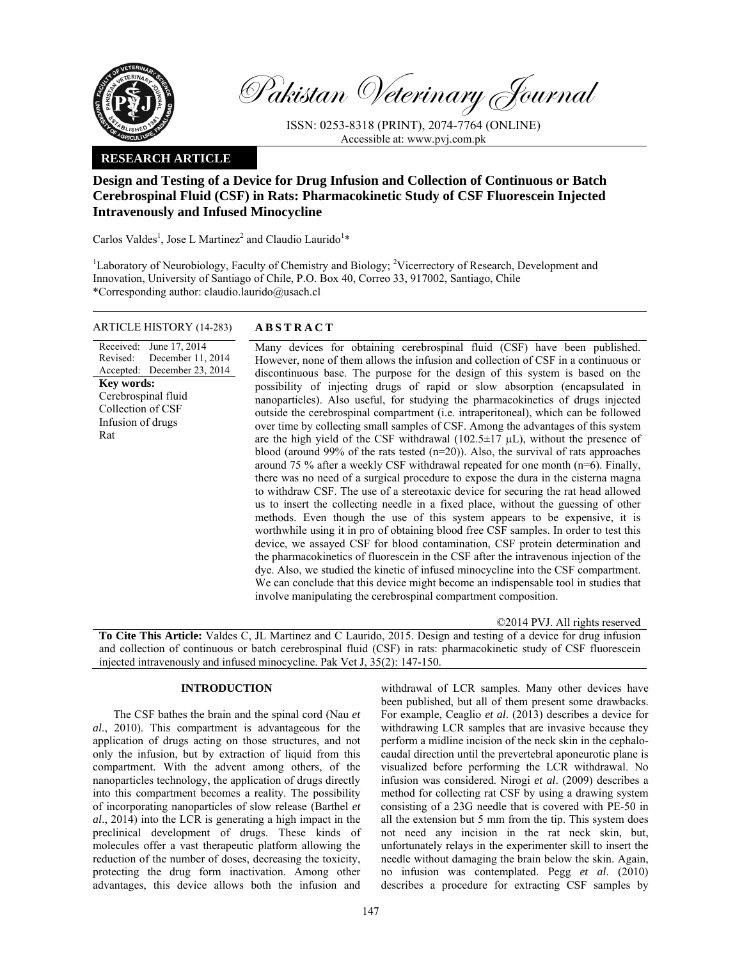

Pakistan Veterinary Journal

ISSN: 0253-8318 (PRINT), 2074-7764 (ONLINE) Accessible at: www.pvj.com.pk

# **RESEARCH ARTICLE**

# **Design and Testing of a Device for Drug Infusion and Collection of Continuous or Batch Cerebrospinal Fluid (CSF) in Rats: Pharmacokinetic Study of CSF Fluorescein Injected Intravenously and Infused Minocycline**

Carlos Valdes<sup>1</sup>, Jose L Martinez<sup>2</sup> and Claudio Laurido<sup>1</sup>\*

<sup>1</sup>Laboratory of Neurobiology, Faculty of Chemistry and Biology; <sup>2</sup>Vicerrectory of Research, Development and Innovation, University of Santiago of Chile, P.O. Box 40, Correo 33, 917002, Santiago, Chile \*Corresponding author: claudio.laurido@usach.cl

## ARTICLE HISTORY (14-283) **ABSTRACT**

Received: Revised: Accepted: June 17, 2014 December 11, 2014 December 23, 2014 **Key words:**  Cerebrospinal fluid Collection of CSF Infusion of drugs Rat

 Many devices for obtaining cerebrospinal fluid (CSF) have been published. However, none of them allows the infusion and collection of CSF in a continuous or discontinuous base. The purpose for the design of this system is based on the possibility of injecting drugs of rapid or slow absorption (encapsulated in nanoparticles). Also useful, for studying the pharmacokinetics of drugs injected outside the cerebrospinal compartment (i.e. intraperitoneal), which can be followed over time by collecting small samples of CSF. Among the advantages of this system are the high yield of the CSF withdrawal (102.5 $\pm$ 17 µL), without the presence of blood (around 99% of the rats tested (n=20)). Also, the survival of rats approaches around 75 % after a weekly CSF withdrawal repeated for one month (n=6). Finally, there was no need of a surgical procedure to expose the dura in the cisterna magna to withdraw CSF. The use of a stereotaxic device for securing the rat head allowed us to insert the collecting needle in a fixed place, without the guessing of other methods. Even though the use of this system appears to be expensive, it is worthwhile using it in pro of obtaining blood free CSF samples. In order to test this device, we assayed CSF for blood contamination, CSF protein determination and the pharmacokinetics of fluorescein in the CSF after the intravenous injection of the dye. Also, we studied the kinetic of infused minocycline into the CSF compartment. We can conclude that this device might become an indispensable tool in studies that involve manipulating the cerebrospinal compartment composition.

©2014 PVJ. All rights reserved

**To Cite This Article:** Valdes C, JL Martinez and C Laurido, 2015. Design and testing of a device for drug infusion and collection of continuous or batch cerebrospinal fluid (CSF) in rats: pharmacokinetic study of CSF fluorescein injected intravenously and infused minocycline. Pak Vet J, 35(2): 147-150.

# **INTRODUCTION**

The CSF bathes the brain and the spinal cord (Nau *et al*., 2010). This compartment is advantageous for the application of drugs acting on those structures, and not only the infusion, but by extraction of liquid from this compartment. With the advent among others, of the nanoparticles technology, the application of drugs directly into this compartment becomes a reality. The possibility of incorporating nanoparticles of slow release (Barthel *et al*., 2014) into the LCR is generating a high impact in the preclinical development of drugs. These kinds of molecules offer a vast therapeutic platform allowing the reduction of the number of doses, decreasing the toxicity, protecting the drug form inactivation. Among other advantages, this device allows both the infusion and

withdrawal of LCR samples. Many other devices have been published, but all of them present some drawbacks. For example, Ceaglio *et al*. (2013) describes a device for withdrawing LCR samples that are invasive because they perform a midline incision of the neck skin in the cephalocaudal direction until the prevertebral aponeurotic plane is visualized before performing the LCR withdrawal. No infusion was considered. Nirogi *et al*. (2009) describes a method for collecting rat CSF by using a drawing system consisting of a 23G needle that is covered with PE-50 in all the extension but 5 mm from the tip. This system does not need any incision in the rat neck skin, but, unfortunately relays in the experimenter skill to insert the needle without damaging the brain below the skin. Again, no infusion was contemplated. Pegg *et al*. (2010) describes a procedure for extracting CSF samples by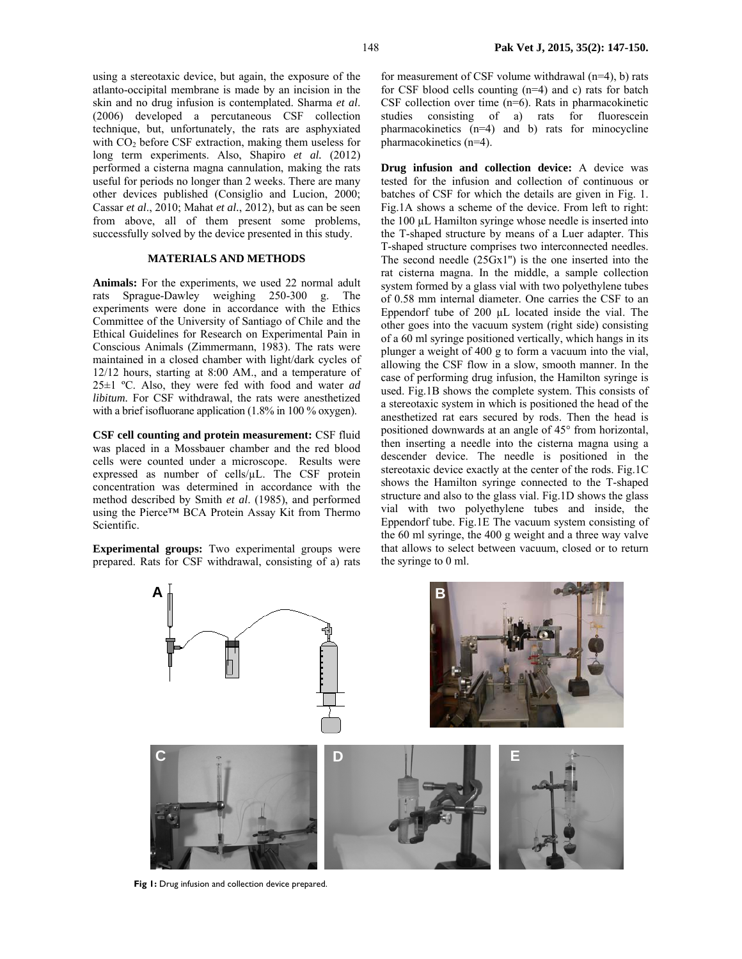using a stereotaxic device, but again, the exposure of the atlanto-occipital membrane is made by an incision in the skin and no drug infusion is contemplated. Sharma *et al*. (2006) developed a percutaneous CSF collection technique, but, unfortunately, the rats are asphyxiated with  $CO<sub>2</sub>$  before CSF extraction, making them useless for long term experiments. Also, Shapiro *et al.* (2012) performed a cisterna magna cannulation, making the rats useful for periods no longer than 2 weeks. There are many other devices published (Consiglio and Lucion, 2000; Cassar *et al*., 2010; Mahat *et al.*, 2012), but as can be seen from above, all of them present some problems, successfully solved by the device presented in this study.

### **MATERIALS AND METHODS**

**Animals:** For the experiments, we used 22 normal adult rats Sprague-Dawley weighing 250-300 g. The experiments were done in accordance with the Ethics Committee of the University of Santiago of Chile and the Ethical Guidelines for Research on Experimental Pain in Conscious Animals (Zimmermann, 1983). The rats were maintained in a closed chamber with light/dark cycles of 12/12 hours, starting at 8:00 AM., and a temperature of 25±1 ºC. Also, they were fed with food and water *ad libitum.* For CSF withdrawal, the rats were anesthetized with a brief isofluorane application (1.8% in 100 % oxygen).

**CSF cell counting and protein measurement:** CSF fluid was placed in a Mossbauer chamber and the red blood cells were counted under a microscope. Results were expressed as number of cells/µL. The CSF protein concentration was determined in accordance with the method described by Smith *et al*. (1985), and performed using the Pierce™ BCA Protein Assay Kit from Thermo Scientific.

**Experimental groups:** Two experimental groups were prepared. Rats for CSF withdrawal, consisting of a) rats for measurement of CSF volume withdrawal (n=4), b) rats for CSF blood cells counting (n=4) and c) rats for batch CSF collection over time (n=6). Rats in pharmacokinetic studies consisting of a) rats for fluorescein pharmacokinetics (n=4) and b) rats for minocycline pharmacokinetics (n=4).

**Drug infusion and collection device:** A device was tested for the infusion and collection of continuous or batches of CSF for which the details are given in Fig. 1. Fig.1A shows a scheme of the device. From left to right: the 100 µL Hamilton syringe whose needle is inserted into the T-shaped structure by means of a Luer adapter. This T-shaped structure comprises two interconnected needles. The second needle (25Gx1'') is the one inserted into the rat cisterna magna. In the middle, a sample collection system formed by a glass vial with two polyethylene tubes of 0.58 mm internal diameter. One carries the CSF to an Eppendorf tube of 200 µL located inside the vial. The other goes into the vacuum system (right side) consisting of a 60 ml syringe positioned vertically, which hangs in its plunger a weight of 400 g to form a vacuum into the vial, allowing the CSF flow in a slow, smooth manner. In the case of performing drug infusion, the Hamilton syringe is used. Fig.1B shows the complete system. This consists of a stereotaxic system in which is positioned the head of the anesthetized rat ears secured by rods. Then the head is positioned downwards at an angle of 45° from horizontal, then inserting a needle into the cisterna magna using a descender device. The needle is positioned in the stereotaxic device exactly at the center of the rods. Fig.1C shows the Hamilton syringe connected to the T-shaped structure and also to the glass vial. Fig.1D shows the glass vial with two polyethylene tubes and inside, the Eppendorf tube. Fig.1E The vacuum system consisting of the 60 ml syringe, the 400 g weight and a three way valve that allows to select between vacuum, closed or to return the syringe to 0 ml.



**Fig 1:** Drug infusion and collection device prepared.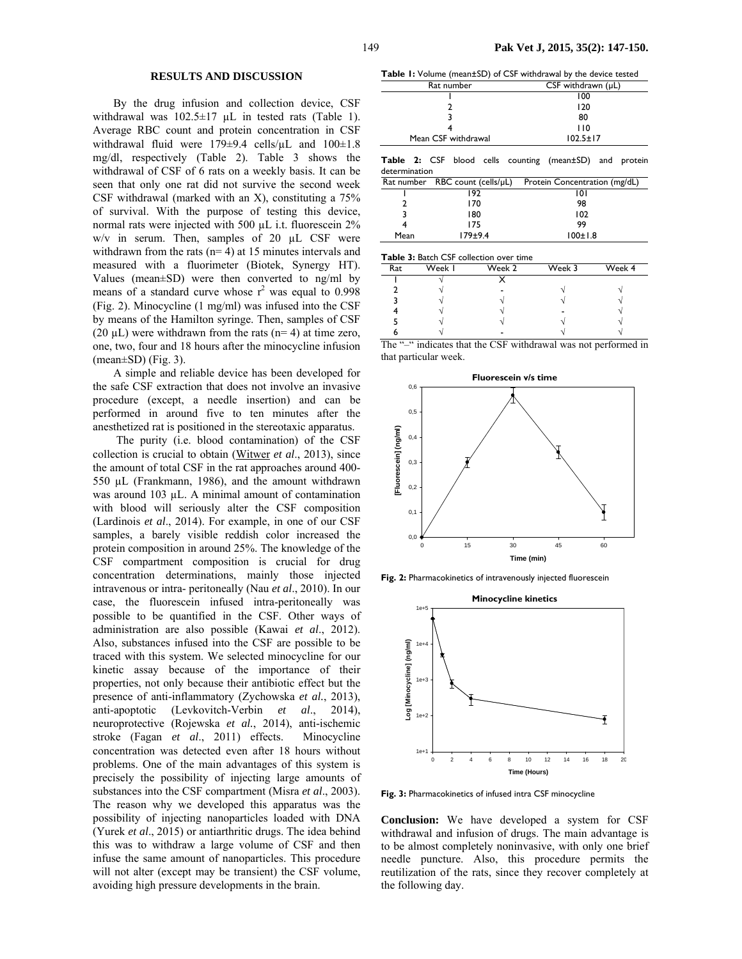### **RESULTS AND DISCUSSION**

By the drug infusion and collection device, CSF withdrawal was  $102.5 \pm 17$  µL in tested rats (Table 1). Average RBC count and protein concentration in CSF withdrawal fluid were 179±9.4 cells/ $\mu$ L and 100±1.8 mg/dl, respectively (Table 2). Table 3 shows the withdrawal of CSF of 6 rats on a weekly basis. It can be seen that only one rat did not survive the second week CSF withdrawal (marked with an X), constituting a 75% of survival. With the purpose of testing this device, normal rats were injected with 500 µL i.t. fluorescein 2%  $w/v$  in serum. Then, samples of 20  $\mu$ L CSF were withdrawn from the rats  $(n= 4)$  at 15 minutes intervals and measured with a fluorimeter (Biotek, Synergy HT). Values (mean±SD) were then converted to ng/ml by means of a standard curve whose  $r^2$  was equal to 0.998 (Fig. 2). Minocycline (1 mg/ml) was infused into the CSF by means of the Hamilton syringe. Then, samples of CSF (20  $\mu$ L) were withdrawn from the rats (n= 4) at time zero, one, two, four and 18 hours after the minocycline infusion (mean±SD) (Fig. 3).

A simple and reliable device has been developed for the safe CSF extraction that does not involve an invasive procedure (except, a needle insertion) and can be performed in around five to ten minutes after the anesthetized rat is positioned in the stereotaxic apparatus.

 The purity (i.e. blood contamination) of the CSF collection is crucial to obtain (Witwer *et al*., 2013), since the amount of total CSF in the rat approaches around 400- 550 µL (Frankmann, 1986), and the amount withdrawn was around 103 µL. A minimal amount of contamination with blood will seriously alter the CSF composition (Lardinois *et al*., 2014). For example, in one of our CSF samples, a barely visible reddish color increased the protein composition in around 25%. The knowledge of the CSF compartment composition is crucial for drug concentration determinations, mainly those injected intravenous or intra- peritoneally (Nau *et al*., 2010). In our case, the fluorescein infused intra-peritoneally was possible to be quantified in the CSF. Other ways of administration are also possible (Kawai *et al*., 2012). Also, substances infused into the CSF are possible to be traced with this system. We selected minocycline for our kinetic assay because of the importance of their properties, not only because their antibiotic effect but the presence of anti-inflammatory (Zychowska *et al.*, 2013), anti-apoptotic (Levkovitch-Verbin *et al*., 2014), neuroprotective (Rojewska *et al.*, 2014), anti-ischemic stroke (Fagan *et al*., 2011) effects. Minocycline concentration was detected even after 18 hours without problems. One of the main advantages of this system is precisely the possibility of injecting large amounts of substances into the CSF compartment (Misra *et al*., 2003). The reason why we developed this apparatus was the possibility of injecting nanoparticles loaded with DNA (Yurek *et al*., 2015) or antiarthritic drugs. The idea behind this was to withdraw a large volume of CSF and then infuse the same amount of nanoparticles. This procedure will not alter (except may be transient) the CSF volume, avoiding high pressure developments in the brain.

**Table 1:** Volume (mean±SD) of CSF withdrawal by the device tested

| Rat number          | $CSF$ withdrawn $(\mu L)$ |
|---------------------|---------------------------|
|                     | 100                       |
|                     | 120                       |
|                     | 80                        |
|                     | 110                       |
| Mean CSF withdrawal | $102.5 \pm 17$            |
|                     |                           |

|               |  |  | Table 2: CSF blood cells counting (mean±SD) and protein |  |
|---------------|--|--|---------------------------------------------------------|--|
| determination |  |  |                                                         |  |

|      | Rat number RBC count (cells/µL) | Protein Concentration (mg/dL) |
|------|---------------------------------|-------------------------------|
|      | 192                             | 101                           |
|      | 170                             | 98                            |
|      | 180                             | 102                           |
|      | 175                             | 99                            |
| Mean | $179 + 9.4$                     | $100 \pm 1.8$                 |
|      |                                 |                               |

| <b>Table 3:</b> Batch CSF collection over time |                      |          |                          |        |  |
|------------------------------------------------|----------------------|----------|--------------------------|--------|--|
| Rat                                            | Week I               | Week 2   | Week 3                   | Week 4 |  |
|                                                |                      |          |                          |        |  |
|                                                |                      |          |                          |        |  |
|                                                |                      |          |                          |        |  |
|                                                |                      |          |                          |        |  |
|                                                |                      |          |                          |        |  |
|                                                |                      |          |                          |        |  |
| --<br>.                                        | $\cdot$ $\cdot$<br>. | .<br>--- | $\overline{\phantom{a}}$ | $\sim$ |  |

The "–" indicates that the CSF withdrawal was not performed in that particular week.



**Fig. 2:** Pharmacokinetics of intravenously injected fluorescein



**Fig. 3:** Pharmacokinetics of infused intra CSF minocycline

**Conclusion:** We have developed a system for CSF withdrawal and infusion of drugs. The main advantage is to be almost completely noninvasive, with only one brief needle puncture. Also, this procedure permits the reutilization of the rats, since they recover completely at the following day.